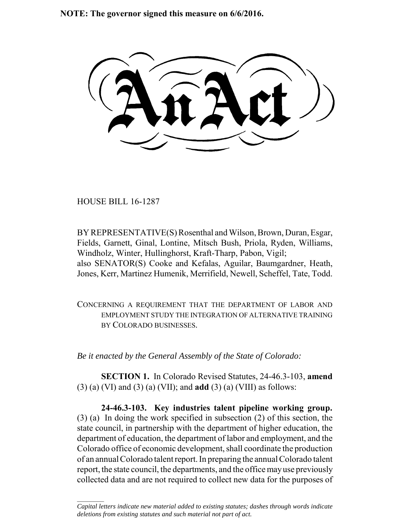**NOTE: The governor signed this measure on 6/6/2016.**

HOUSE BILL 16-1287

 $\frac{1}{2}$ 

BY REPRESENTATIVE(S) Rosenthal and Wilson, Brown, Duran, Esgar, Fields, Garnett, Ginal, Lontine, Mitsch Bush, Priola, Ryden, Williams, Windholz, Winter, Hullinghorst, Kraft-Tharp, Pabon, Vigil; also SENATOR(S) Cooke and Kefalas, Aguilar, Baumgardner, Heath, Jones, Kerr, Martinez Humenik, Merrifield, Newell, Scheffel, Tate, Todd.

CONCERNING A REQUIREMENT THAT THE DEPARTMENT OF LABOR AND EMPLOYMENT STUDY THE INTEGRATION OF ALTERNATIVE TRAINING BY COLORADO BUSINESSES.

*Be it enacted by the General Assembly of the State of Colorado:*

**SECTION 1.** In Colorado Revised Statutes, 24-46.3-103, **amend** (3) (a) (VI) and (3) (a) (VII); and **add** (3) (a) (VIII) as follows:

**24-46.3-103. Key industries talent pipeline working group.** (3) (a) In doing the work specified in subsection (2) of this section, the state council, in partnership with the department of higher education, the department of education, the department of labor and employment, and the Colorado office of economic development, shall coordinate the production of an annual Colorado talent report. In preparing the annual Colorado talent report, the state council, the departments, and the office may use previously collected data and are not required to collect new data for the purposes of

*Capital letters indicate new material added to existing statutes; dashes through words indicate deletions from existing statutes and such material not part of act.*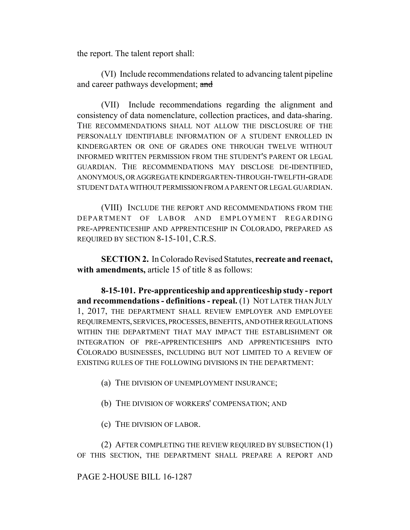the report. The talent report shall:

(VI) Include recommendations related to advancing talent pipeline and career pathways development; and

(VII) Include recommendations regarding the alignment and consistency of data nomenclature, collection practices, and data-sharing. THE RECOMMENDATIONS SHALL NOT ALLOW THE DISCLOSURE OF THE PERSONALLY IDENTIFIABLE INFORMATION OF A STUDENT ENROLLED IN KINDERGARTEN OR ONE OF GRADES ONE THROUGH TWELVE WITHOUT INFORMED WRITTEN PERMISSION FROM THE STUDENT'S PARENT OR LEGAL GUARDIAN. THE RECOMMENDATIONS MAY DISCLOSE DE-IDENTIFIED, ANONYMOUS, OR AGGREGATE KINDERGARTEN-THROUGH-TWELFTH-GRADE STUDENT DATA WITHOUT PERMISSION FROM A PARENT OR LEGAL GUARDIAN.

(VIII) INCLUDE THE REPORT AND RECOMMENDATIONS FROM THE DEPARTMENT OF LABOR AND EMPLOYMENT REGARDING PRE-APPRENTICESHIP AND APPRENTICESHIP IN COLORADO, PREPARED AS REQUIRED BY SECTION 8-15-101, C.R.S.

**SECTION 2.** In Colorado Revised Statutes, **recreate and reenact,** with **amendments**, article 15 of title 8 as follows:

**8-15-101. Pre-apprenticeship and apprenticeship study - report and recommendations - definitions - repeal.** (1) NOT LATER THAN JULY 1, 2017, THE DEPARTMENT SHALL REVIEW EMPLOYER AND EMPLOYEE REQUIREMENTS, SERVICES, PROCESSES, BENEFITS, AND OTHER REGULATIONS WITHIN THE DEPARTMENT THAT MAY IMPACT THE ESTABLISHMENT OR INTEGRATION OF PRE-APPRENTICESHIPS AND APPRENTICESHIPS INTO COLORADO BUSINESSES, INCLUDING BUT NOT LIMITED TO A REVIEW OF EXISTING RULES OF THE FOLLOWING DIVISIONS IN THE DEPARTMENT:

- (a) THE DIVISION OF UNEMPLOYMENT INSURANCE;
- (b) THE DIVISION OF WORKERS' COMPENSATION; AND
- (c) THE DIVISION OF LABOR.

(2) AFTER COMPLETING THE REVIEW REQUIRED BY SUBSECTION (1) OF THIS SECTION, THE DEPARTMENT SHALL PREPARE A REPORT AND

## PAGE 2-HOUSE BILL 16-1287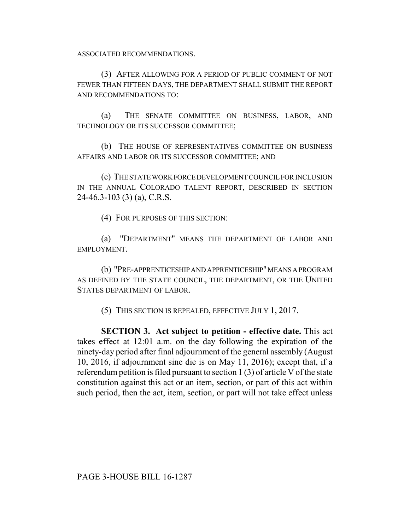ASSOCIATED RECOMMENDATIONS.

(3) AFTER ALLOWING FOR A PERIOD OF PUBLIC COMMENT OF NOT FEWER THAN FIFTEEN DAYS, THE DEPARTMENT SHALL SUBMIT THE REPORT AND RECOMMENDATIONS TO:

(a) THE SENATE COMMITTEE ON BUSINESS, LABOR, AND TECHNOLOGY OR ITS SUCCESSOR COMMITTEE;

(b) THE HOUSE OF REPRESENTATIVES COMMITTEE ON BUSINESS AFFAIRS AND LABOR OR ITS SUCCESSOR COMMITTEE; AND

(c) THE STATE WORK FORCE DEVELOPMENT COUNCIL FOR INCLUSION IN THE ANNUAL COLORADO TALENT REPORT, DESCRIBED IN SECTION 24-46.3-103 (3) (a), C.R.S.

(4) FOR PURPOSES OF THIS SECTION:

(a) "DEPARTMENT" MEANS THE DEPARTMENT OF LABOR AND EMPLOYMENT.

(b) "PRE-APPRENTICESHIP AND APPRENTICESHIP" MEANS A PROGRAM AS DEFINED BY THE STATE COUNCIL, THE DEPARTMENT, OR THE UNITED STATES DEPARTMENT OF LABOR.

(5) THIS SECTION IS REPEALED, EFFECTIVE JULY 1, 2017.

**SECTION 3. Act subject to petition - effective date.** This act takes effect at 12:01 a.m. on the day following the expiration of the ninety-day period after final adjournment of the general assembly (August 10, 2016, if adjournment sine die is on May 11, 2016); except that, if a referendum petition is filed pursuant to section 1 (3) of article V of the state constitution against this act or an item, section, or part of this act within such period, then the act, item, section, or part will not take effect unless